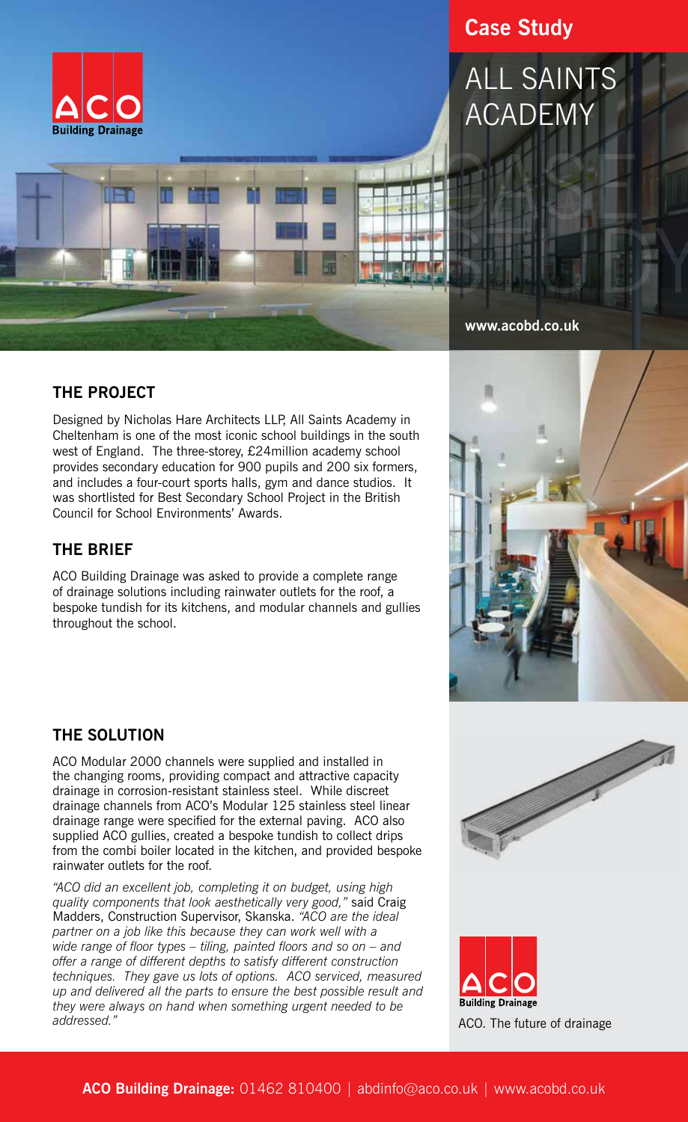

# **Case Study**

# ALL SAINTS ACADEMY



#### **www.acobd.co.uk**

#### **THE PROJECT**

Designed by Nicholas Hare Architects LLP, All Saints Academy in Cheltenham is one of the most iconic school buildings in the south west of England. The three-storey, £24million academy school provides secondary education for 900 pupils and 200 six formers, and includes a four-court sports halls, gym and dance studios. It was shortlisted for Best Secondary School Project in the British Council for School Environments' Awards.

#### **THE BRIEF**

ACO Building Drainage was asked to provide a complete range of drainage solutions including rainwater outlets for the roof, a bespoke tundish for its kitchens, and modular channels and gullies throughout the school.



ACO Modular 2000 channels were supplied and installed in the changing rooms, providing compact and attractive capacity drainage in corrosion-resistant stainless steel. While discreet drainage channels from ACO's Modular 125 stainless steel linear drainage range were specified for the external paving. ACO also supplied ACO gullies, created a bespoke tundish to collect drips from the combi boiler located in the kitchen, and provided bespoke rainwater outlets for the roof.

*"ACO did an excellent job, completing it on budget, using high quality components that look aesthetically very good,"* said Craig Madders, Construction Supervisor, Skanska. *"ACO are the ideal partner on a job like this because they can work well with a wide range of floor types – tiling, painted floors and so on – and offer a range of different depths to satisfy different construction techniques. They gave us lots of options. ACO serviced, measured up and delivered all the parts to ensure the best possible result and they were always on hand when something urgent needed to be addressed."*





**Building Drainage** ACO. The future of drainage